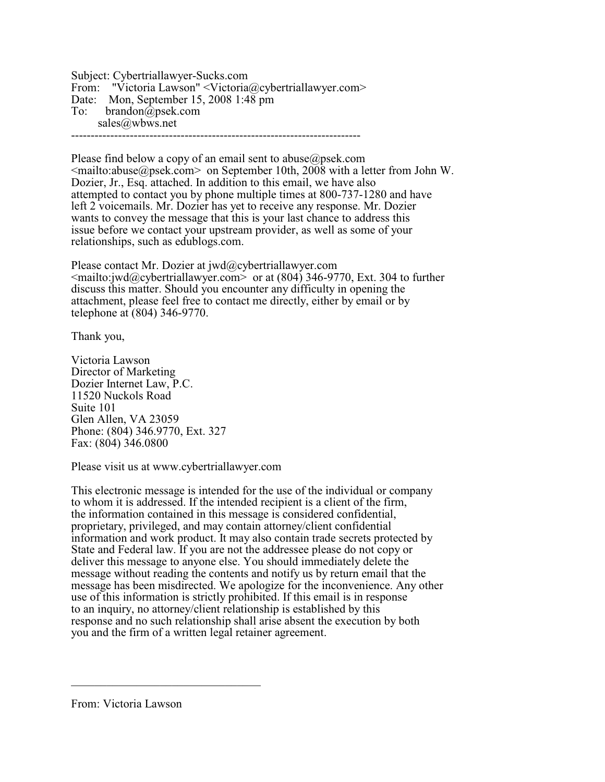Subject: Cybertriallawyer-Sucks.com From: "Victoria Lawson" <Victoria@cybertriallawyer.com> Date: Mon, September 15, 2008 1:48 pm To: brandon@psek.com sales@wbws.net --------------------------------------------------------------------------

Please find below a copy of an email sent to abuse $\omega$  psek.com  $\leq$ mailto:abuse@psek.com $>$  on September 10th, 2008 with a letter from John W. Dozier, Jr., Esq. attached. In addition to this email, we have also attempted to contact you by phone multiple times at 800-737-1280 and have left 2 voicemails. Mr. Dozier has yet to receive any response. Mr. Dozier wants to convey the message that this is your last chance to address this issue before we contact your upstream provider, as well as some of your relationships, such as edublogs.com.

Please contact Mr. Dozier at jwd@cybertriallawyer.com  $\leq$ mailto:jwd@cybertriallawyer.com> or at (804) 346-9770, Ext. 304 to further discuss this matter. Should you encounter any difficulty in opening the attachment, please feel free to contact me directly, either by email or by telephone at (804) 346-9770.

Thank you,

Victoria Lawson Director of Marketing Dozier Internet Law, P.C. 11520 Nuckols Road Suite 101 Glen Allen, VA 23059 Phone: (804) 346.9770, Ext. 327 Fax: (804) 346.0800

Please visit us at www.cybertriallawyer.com

This electronic message is intended for the use of the individual or company to whom it is addressed. If the intended recipient is a client of the firm, the information contained in this message is considered confidential, proprietary, privileged, and may contain attorney/client confidential information and work product. It may also contain trade secrets protected by State and Federal law. If you are not the addressee please do not copy or deliver this message to anyone else. You should immediately delete the message without reading the contents and notify us by return email that the message has been misdirected. We apologize for the inconvenience. Any other use of this information is strictly prohibited. If this email is in response to an inquiry, no attorney/client relationship is established by this response and no such relationship shall arise absent the execution by both you and the firm of a written legal retainer agreement.

From: Victoria Lawson